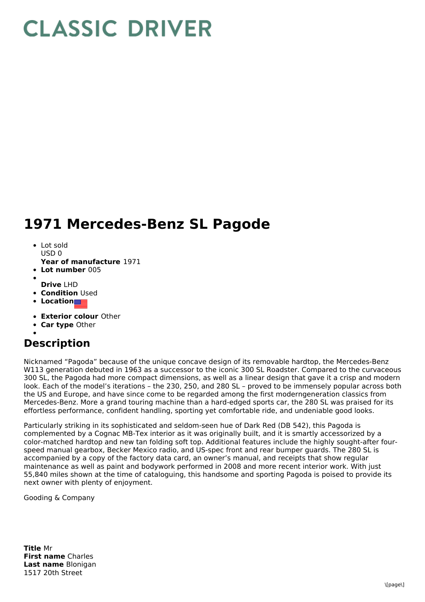## **CLASSIC DRIVER**

## **1971 Mercedes-Benz SL Pagode**

- Lot sold  $USD0$
- **Year of manufacture** 1971
- **Lot number** 005
- **Drive** LHD
- **Condition Used**
- **Location**
- 
- **Exterior colour** Other
- **Car type** Other
- **Description**

Nicknamed "Pagoda" because of the unique concave design of its removable hardtop, the Mercedes-Benz W113 generation debuted in 1963 as a successor to the iconic 300 SL Roadster. Compared to the curvaceous 300 SL, the Pagoda had more compact dimensions, as well as a linear design that gave it a crisp and modern look. Each of the model's iterations – the 230, 250, and 280 SL – proved to be immensely popular across both the US and Europe, and have since come to be regarded among the first moderngeneration classics from Mercedes-Benz. More a grand touring machine than a hard-edged sports car, the 280 SL was praised for its effortless performance, confident handling, sporting yet comfortable ride, and undeniable good looks.

Particularly striking in its sophisticated and seldom-seen hue of Dark Red (DB 542), this Pagoda is complemented by a Cognac MB-Tex interior as it was originally built, and it is smartly accessorized by a color-matched hardtop and new tan folding soft top. Additional features include the highly sought-after fourspeed manual gearbox, Becker Mexico radio, and US-spec front and rear bumper guards. The 280 SL is accompanied by a copy of the factory data card, an owner's manual, and receipts that show regular maintenance as well as paint and bodywork performed in 2008 and more recent interior work. With just 55,840 miles shown at the time of cataloguing, this handsome and sporting Pagoda is poised to provide its next owner with plenty of enjoyment.

Gooding & Company

**Title** Mr **First name** Charles **Last name** Blonigan 1517 20th Street